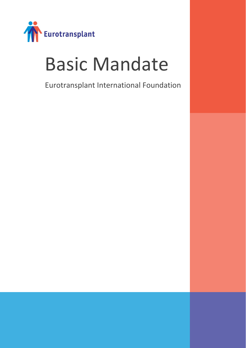

# Basic Mandate

Eurotransplant International Foundation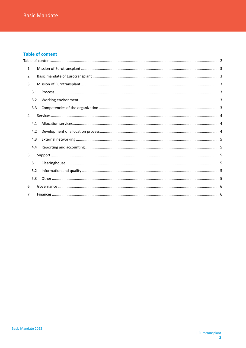# <span id="page-1-0"></span>**Table of content**

| 1.  |  |
|-----|--|
| 2.  |  |
| 3.  |  |
| 3.1 |  |
| 3.2 |  |
| 3.3 |  |
| 4.  |  |
| 4.1 |  |
| 4.2 |  |
| 4.3 |  |
| 4.4 |  |
| 5.  |  |
| 5.1 |  |
| 5.2 |  |
| 5.3 |  |
| 6.  |  |
| 7.  |  |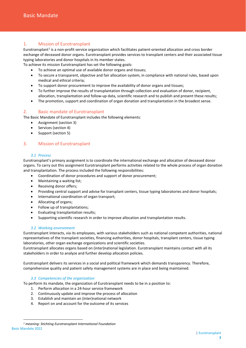# <span id="page-2-0"></span>1. Mission of Eurotransplant

Eurotransplant<sup>[1](#page-2-6)</sup> is a non-profit service organization which facilitates patient-oriented allocation and cross border exchange of deceased donor organs. Eurotransplant provides services to transplant centers and their associated tissue typing laboratories and donor hospitals in its member states.

To achieve its mission Eurotransplant has set the following goals:

- To achieve an optimal use of available donor organs and tissues;
- To secure a transparent, objective and fair allocation system, in compliance with national rules, based upon medical and ethical criteria;
- To support donor procurement to improve the availability of donor organs and tissues;
- To further improve the results of transplantation through collection and evaluation of donor, recipient, allocation, transplantation and follow-up data, scientific research and to publish and present these results;
- The promotion, support and coordination of organ donation and transplantation in the broadest sense.

# <span id="page-2-1"></span>2. Basic mandate of Eurotransplant

The Basic Mandate of Eurotransplant includes the following elements:

- Assignment (section 3)
- Services (section 4)
- Support (section 5)

# <span id="page-2-2"></span>3. Mission of Eurotransplant

## *3.1 Process*

<span id="page-2-3"></span>Eurotransplant's primary assignment is to coordinate the international exchange and allocation of deceased donor organs. To carry out this assignment Eurotransplant performs activities related to the whole process of organ donation and transplantation. The process included the following responsibilities:

- Coordination of donor procedures and support of donor procurement;
- Maintaining a waiting list;
- Receiving donor offers;
- Providing central support and advise for transplant centers, tissue typing laboratories and donor hospitals;
- International coordination of organ transport;
- Allocating of organs;
- Follow up of transplantations;
- Evaluating transplantation results;
- Supporting scientific research in order to improve allocation and transplantation results.

## *3.2 Working environment*

<span id="page-2-4"></span>Eurotransplant interacts, via its employees, with various stakeholders such as national competent authorities, national representatives of the transplant societies, financing authorities, donor hospitals, transplant centers, tissue typing laboratories, other organ exchange organizations and scientific societies.

Eurotransplant allocates organs based on (inter)national legislation. Eurotransplant maintains contact with all its stakeholders in order to analyze and further develop allocation policies.

Eurotransplant delivers its services in a social and political framework which demands transparency. Therefore, comprehensive quality and patient safety management systems are in place and being maintained.

# *3.3 Competencies of the organization*

<span id="page-2-5"></span>To perform its mandate, the organization of Eurotransplant needs to be in a position to:

- 1. Perform allocation in a 24-hour service framework
- 2. Continuously update and improve the process of allocation
- 3. Establish and maintain an (inter)national network
- 4. Report on and account for the outcome of its services

<span id="page-2-6"></span>Basic Mandate 2022 *<sup>1</sup> meaning: Stichting Eurotransplant International Foundation*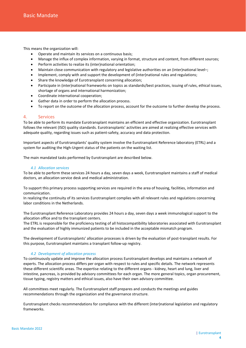This means the organization will:

- Operate and maintain its services on a continuous basis;
- Manage the influx of complex information, varying in format, structure and content, from different sources;
- Perform activities to realize its (inter)national orientation;
- Maintain close communication with regulatory and legislative authorities on an (inter)national level–;
- Implement, comply with and support the development of (inter)national rules and regulations;
- Share the knowledge of Eurotransplant concerning allocation;
- Participate in (inter)national frameworks on topics as standards/best practices, issuing of rules, ethical issues, shortage of organs and international harmonization;
- Coordinate international cooperation;
- Gather data in order to perform the allocation process.
- To report on the outcome of the allocation process, account for the outcome to further develop the process.

## <span id="page-3-0"></span>4. Services

To be able to perform its mandate Eurotransplant maintains an efficient and effective organization. Eurotransplant follows the relevant (ISO) quality standards. Eurotransplants' activities are aimed at realizing effective services with adequate quality, regarding issues such as patient-safety, accuracy and data protection.

Important aspects of Eurotransplants' quality system involve the Eurotransplant Reference laboratory (ETRL) and a system for auditing the High-Urgent status of the patients on the waiting list.

The main mandated tasks performed by Eurotransplant are described below.

#### *4.1 Allocation services*

<span id="page-3-1"></span>To be able to perform these services 24 hours a day, seven days a week, Eurotransplant maintains a staff of medical doctors, an allocation service desk and medical administration.

To support this primary process supporting services are required in the area of housing, facilities, information and communication.

In realizing the continuity of its services Eurotransplant complies with all relevant rules and regulations concerning labor conditions in the Netherlands.

The Eurotransplant Reference Laboratory provides 24 hours a day, seven days a week immunological support to the allocation office and to the transplant centers.

The ETRL is responsible for the proficiency testing of all histocompatibility laboratories associated with Eurotransplant and the evaluation of highly immunized patients to be included in the acceptable mismatch program.

The development of Eurotransplants' allocation processes is driven by the evaluation of post-transplant results. For this purpose, Eurotransplant maintains a transplant follow-up registry.

#### *4.2 Development of allocation process*

<span id="page-3-2"></span>To continuously update and improve the allocation process Eurotransplant develops and maintains a network of experts. The allocation process differs per organ with respect to rules and specific details. The network represents these different scientific areas. The expertise relating to the different organs - kidney, heart and lung, liver and intestine, pancreas, is provided by advisory committees for each organ. The more general topics, organ procurement, tissue typing, registry matters and ethical issues, also have their own advisory committee.

All committees meet regularly. The Eurotransplant staff prepares and conducts the meetings and guides recommendations through the organization and the governance structure.

Eurotransplant checks recommendations for compliance with the different (inter)national legislation and regulatory frameworks.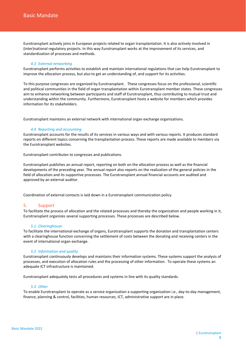Eurotransplant actively joins in European projects related to organ transplantation. It is also actively involved in (inter)national regulatory projects. In this way Eurotransplant works at the improvement of its services, and standardization of processes and methods.

#### *4.3 External networking*

<span id="page-4-0"></span>Eurotransplant performs activities to establish and maintain international regulations that can help Eurotransplant to improve the allocation process, but also to get an understanding of, and support for its activities.

To this purpose congresses are organized by Eurotransplant. These congresses focus on the professional, scientific and political communities in the field of organ transplantation within Eurotransplant member states. These congresses aim to enhance networking between participants and staff of Eurotransplant, thus contributing to mutual trust and understanding within the community. Furthermore, Eurotransplant hosts a website for members which provides information for its stakeholders.

Eurotransplant maintains an external network with international organ exchange organizations.

#### *4.4 Reporting and accounting*

<span id="page-4-1"></span>Eurotransplant accounts for the results of its services in various ways and with various reports. It produces standard reports on different topics concerning the transplantation process. These reports are made available to members via the Eurotransplant websites.

Eurotransplant contributes to congresses and publications.

Eurotransplant publishes an annual report, reporting on both on the allocation process as well as the financial developments of the preceding year. The annual report also reports on the realization of the general policies in the field of allocation and its supportive processes. The Eurotransplant annual financial accounts are audited and approved by an external auditor.

Coordination of external contacts is laid down in a Eurotransplant communication policy.

## <span id="page-4-2"></span>5. Support

To facilitate the process of allocation and the related processes and thereby the organization and people working in it, Eurotransplant organizes several supporting processes. These processes are described below.

#### *5.1 Clearinghouse*

<span id="page-4-3"></span>To facilitate the international exchange of organs, Eurotransplant supports the donation and transplantation centers with a clearinghouse function concerning the settlement of costs between the donating and receiving centers in the event of international organ exchange.

## *5.2 Information and quality*

<span id="page-4-4"></span>Eurotransplant continuously develops and maintains their information systems. These systems support the analysis of processes, and execution of allocation rules and the processing of other information. To operate these systems an adequate ICT infrastructure is maintained.

Eurotransplant adequately tests all procedures and systems in line with its quality standards.

#### *5.3 Other*

<span id="page-4-5"></span>To enable Eurotransplant to operate as a service organization a supporting organization i.e., day-to-day management, finance, planning & control, facilities, human resources, ICT, administrative support are in place.